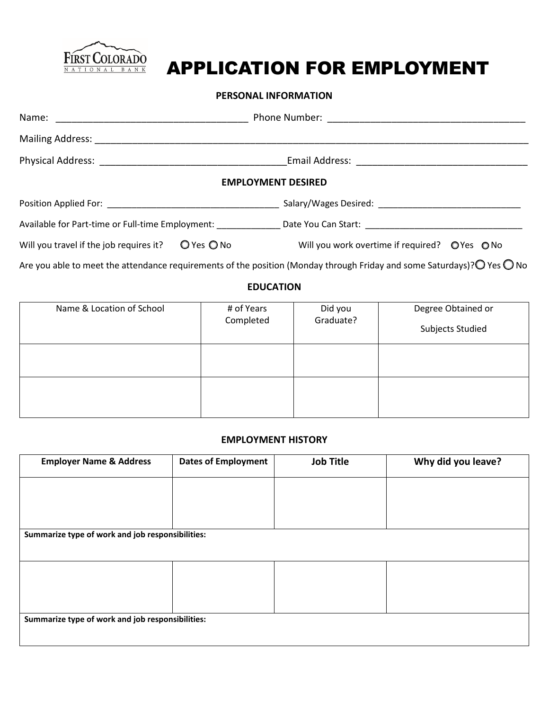

# APPLICATION FOR EMPLOYMENT

## **PERSONAL INFORMATION**

|                                         |                | <b>EMPLOYMENT DESIRED</b>                     |  |  |  |
|-----------------------------------------|----------------|-----------------------------------------------|--|--|--|
|                                         |                |                                               |  |  |  |
|                                         |                |                                               |  |  |  |
| Will you travel if the job requires it? | $O$ Yes $O$ No | Will you work overtime if required? O'Yes ONo |  |  |  |

Are you able to meet the attendance requirements of the position (Monday through Friday and some Saturdays)? O Yes O No

# **EDUCATION**

| Name & Location of School | # of Years<br>Completed | Did you<br>Graduate? | Degree Obtained or<br>Subjects Studied |
|---------------------------|-------------------------|----------------------|----------------------------------------|
|                           |                         |                      |                                        |
|                           |                         |                      |                                        |

## **EMPLOYMENT HISTORY**

| <b>Employer Name &amp; Address</b>               | <b>Dates of Employment</b> | <b>Job Title</b> | Why did you leave? |  |
|--------------------------------------------------|----------------------------|------------------|--------------------|--|
|                                                  |                            |                  |                    |  |
|                                                  |                            |                  |                    |  |
| Summarize type of work and job responsibilities: |                            |                  |                    |  |
|                                                  |                            |                  |                    |  |
|                                                  |                            |                  |                    |  |
|                                                  |                            |                  |                    |  |
| Summarize type of work and job responsibilities: |                            |                  |                    |  |
|                                                  |                            |                  |                    |  |